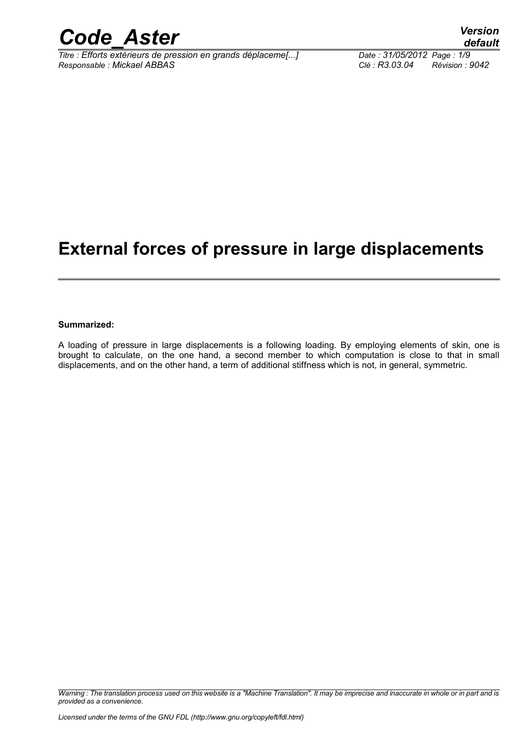

*Titre : Efforts extérieurs de pression en grands déplaceme[...] Date : 31/05/2012 Page : 1/9 Responsable : Mickael ABBAS Clé : R3.03.04 Révision : 9042*

# **External forces of pressure in large displacements**

#### **Summarized:**

A loading of pressure in large displacements is a following loading. By employing elements of skin, one is brought to calculate, on the one hand, a second member to which computation is close to that in small displacements, and on the other hand, a term of additional stiffness which is not, in general, symmetric.

*Warning : The translation process used on this website is a "Machine Translation". It may be imprecise and inaccurate in whole or in part and is provided as a convenience.*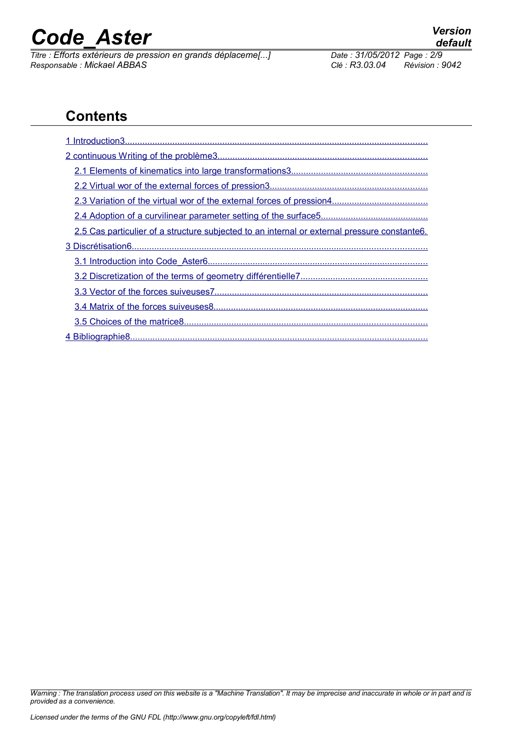*Titre : Efforts extérieurs de pression en grands déplaceme[...] Date : 31/05/2012 Page : 2/9 Responsable : Mickael ABBAS Clé : R3.03.04 Révision : 9042*

# **Contents**

| 2.5 Cas particulier of a structure subjected to an internal or external pressure constante6. |
|----------------------------------------------------------------------------------------------|
|                                                                                              |
|                                                                                              |
|                                                                                              |
|                                                                                              |
|                                                                                              |
|                                                                                              |
|                                                                                              |

*Warning : The translation process used on this website is a "Machine Translation". It may be imprecise and inaccurate in whole or in part and is provided as a convenience.*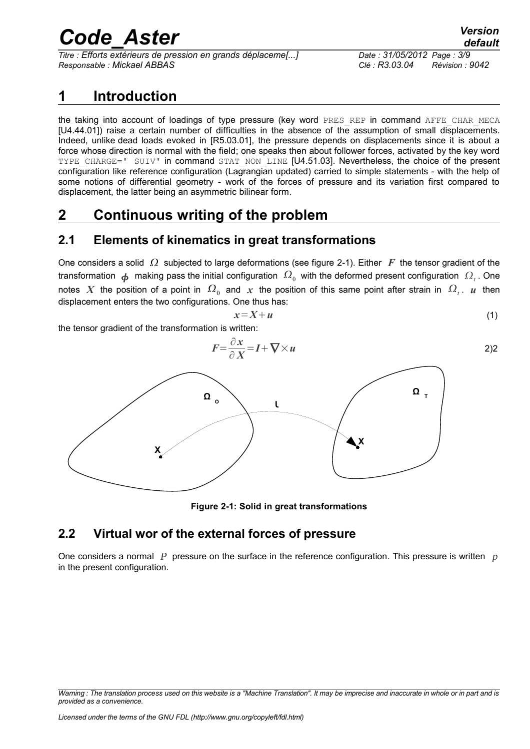*Titre : Efforts extérieurs de pression en grands déplaceme[...] Date : 31/05/2012 Page : 3/9 Responsable : Mickael ABBAS Clé : R3.03.04 Révision : 9042*

### <span id="page-2-0"></span>**1 Introduction**

the taking into account of loadings of type pressure (key word PRES\_REP in command AFFE\_CHAR\_MECA [U4.44.01]) raise a certain number of difficulties in the absence of the assumption of small displacements. Indeed, unlike dead loads evoked in [R5.03.01], the pressure depends on displacements since it is about a force whose direction is normal with the field; one speaks then about follower forces, activated by the key word TYPE CHARGE=' SUIV' in command STAT\_NON\_LINE [U4.51.03]. Nevertheless, the choice of the present configuration like reference configuration (Lagrangian updated) carried to simple statements - with the help of some notions of differential geometry - work of the forces of pressure and its variation first compared to displacement, the latter being an asymmetric bilinear form.

# <span id="page-2-3"></span>**2 Continuous writing of the problem**

### <span id="page-2-2"></span>**2.1 Elements of kinematics in great transformations**

One considers a solid  $\Omega$  subjected to large deformations (see figure [2-1\)](#page-2-4). Either *F* the tensor gradient of the transformation  $\bm{\phi}$  making pass the initial configuration  $\,\Omega_0^{}\,$  with the deformed present configuration  $\,\Omega_t^{}\,$ . One notes  $X$  the position of a point in  $\,\Omega_{_0}\,$  and  $\,x\,$  the position of this same point after strain in  $\,\Omega_{_t}.\,\,$   $\,\mu\,$  then displacement enters the two configurations. One thus has:

$$
x = X + u \tag{1}
$$

the tensor gradient of the transformation is written:



<span id="page-2-4"></span>**Figure 2-1: Solid in great transformations**

### <span id="page-2-1"></span>**2.2 Virtual wor of the external forces of pressure**

One considers a normal *P* pressure on the surface in the reference configuration. This pressure is written *p* in the present configuration.

*Warning : The translation process used on this website is a "Machine Translation". It may be imprecise and inaccurate in whole or in part and is provided as a convenience.*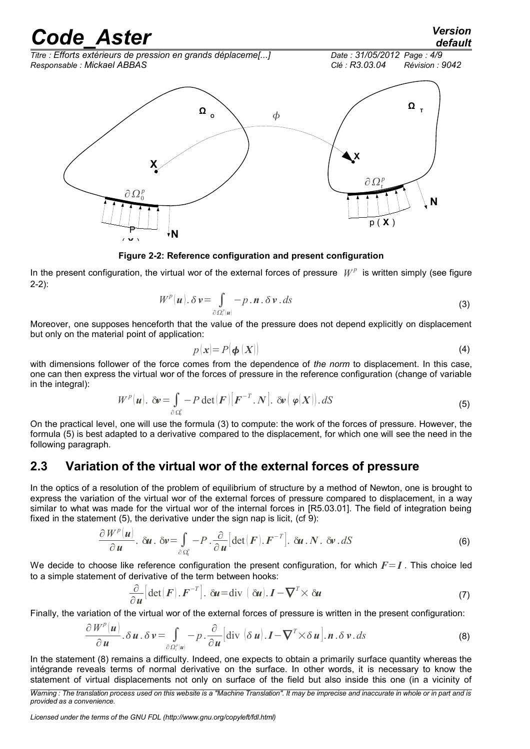*default*

*Titre : Efforts extérieurs de pression en grands déplaceme[...] Date : 31/05/2012 Page : 4/9*



#### <span id="page-3-4"></span>**Figure 2-2: Reference configuration and present configuration**

In the present configuration, the virtual wor of the external forces of pressure  $W^p$  is written simply (see figure [2-2\)](#page-3-4):

$$
W^{p}(\boldsymbol{u}).\delta\boldsymbol{v}=\int_{\partial\Omega_{\epsilon}^{p}(\boldsymbol{u})}-p.\boldsymbol{n}.\delta\boldsymbol{v}.d\boldsymbol{s}
$$
\n(3)

Moreover, one supposes henceforth that the value of the pressure does not depend explicitly on displacement but only on the material point of application:

<span id="page-3-3"></span><span id="page-3-2"></span>
$$
p(\mathbf{x}) = P(\boldsymbol{\phi}|\mathbf{X})) \tag{4}
$$

with dimensions follower of the force comes from the dependence of *the norm* to displacement. In this case, one can then express the virtual wor of the forces of pressure in the reference configuration (change of variable in the integral):

$$
W^{p}(\boldsymbol{u}). \ \delta \boldsymbol{\nu} = \int_{\partial \Omega_{0}^{p}} -P \det(\boldsymbol{F}) \big[\boldsymbol{F}^{-T}. \boldsymbol{N}\big]. \ \delta \boldsymbol{\nu} \big(\boldsymbol{\varphi}(\boldsymbol{X})\big). dS
$$
 (5)

On the practical level, one will use the formula [\(3\)](#page-3-3) to compute: the work of the forces of pressure. However, the formula [\(5\)](#page-3-2) is best adapted to a derivative compared to the displacement, for which one will see the need in the following paragraph.

#### <span id="page-3-0"></span>**2.3 Variation of the virtual wor of the external forces of pressure**

In the optics of a resolution of the problem of equilibrium of structure by a method of Newton, one is brought to express the variation of the virtual wor of the external forces of pressure compared to displacement, in a way similar to what was made for the virtual wor of the internal forces in [R5.03.01]. The field of integration being fixed in the statement [\(5\)](#page-3-2), the derivative under the sign nap is licit, (cf [9\)](#page-8-1):

$$
\frac{\partial W^{p}(u)}{\partial u} \cdot \delta u \cdot \delta v = \int_{\partial \Omega_{0}^{p}} -P \cdot \frac{\partial}{\partial u} \left[ \det(F) \cdot F^{-T} \right] \cdot \delta u \cdot N \cdot \delta v \cdot dS
$$
\n(6)

We decide to choose like reference configuration the present configuration, for which  $F=I$ . This choice led to a simple statement of derivative of the term between hooks:

<span id="page-3-1"></span>
$$
\frac{\partial}{\partial u} \left[ \det(\boldsymbol{F}) \cdot \boldsymbol{F}^{-T} \right]. \ \ \delta u = \text{div} \ \left( \ \delta u \right). \ \ \boldsymbol{I} - \nabla^T \times \delta u \tag{7}
$$

Finally, the variation of the virtual wor of the external forces of pressure is written in the present configuration:

$$
\frac{\partial W^p(\boldsymbol{u})}{\partial \boldsymbol{u}} \cdot \delta \boldsymbol{u} \cdot \delta \boldsymbol{v} = \int_{\partial \Omega^p_{\epsilon}(\boldsymbol{u})} -p \cdot \frac{\partial}{\partial \boldsymbol{u}} \left[ \text{div} \left( \delta \boldsymbol{u} \right) . \boldsymbol{I} - \boldsymbol{\nabla}^T \times \delta \boldsymbol{u} \right] . \boldsymbol{n} \cdot \delta \boldsymbol{v} \cdot d\boldsymbol{s}
$$
 (8)

In the statement [\(8\)](#page-3-1) remains a difficulty. Indeed, one expects to obtain a primarily surface quantity whereas the intégrande reveals terms of normal derivative on the surface. In other words, it is necessary to know the statement of virtual displacements not only on surface of the field but also inside this one (in a vicinity of

*Licensed under the terms of the GNU FDL (http://www.gnu.org/copyleft/fdl.html)*

*Warning : The translation process used on this website is a "Machine Translation". It may be imprecise and inaccurate in whole or in part and is provided as a convenience.*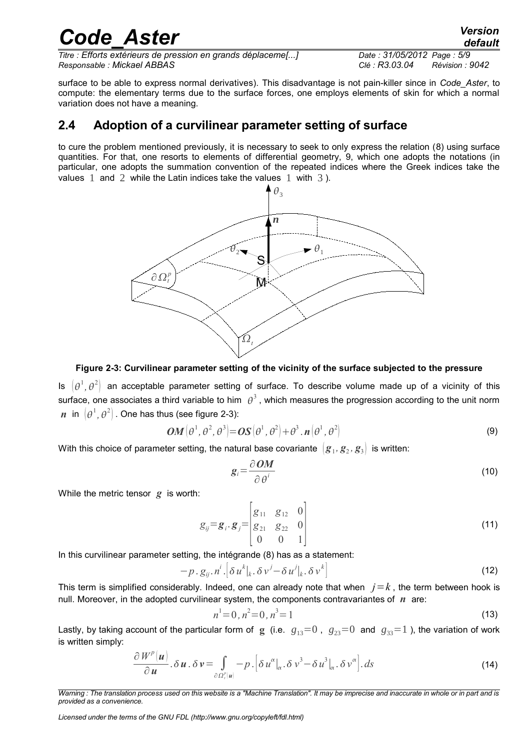*Titre : Efforts extérieurs de pression en grands déplaceme[...] Date : 31/05/2012 Page : 5/9 Responsable : Mickael ABBAS Clé : R3.03.04 Révision : 9042*

surface to be able to express normal derivatives). This disadvantage is not pain-killer since in *Code\_Aster*, to compute: the elementary terms due to the surface forces, one employs elements of skin for which a normal variation does not have a meaning.

#### <span id="page-4-0"></span>**2.4 Adoption of a curvilinear parameter setting of surface**

to cure the problem mentioned previously, it is necessary to seek to only express the relation ([8\)](#page-3-1) using surface quantities. For that, one resorts to elements of differential geometry, [9,](#page-8-2) which one adopts the notations (in particular, one adopts the summation convention of the repeated indices where the Greek indices take the values 1 and 2 while the Latin indices take the values 1 with 3).



#### <span id="page-4-1"></span>**Figure 2-3: Curvilinear parameter setting of the vicinity of the surface subjected to the pressure**

Is  $(\theta^1,\theta^2)$  an acceptable parameter setting of surface. To describe volume made up of a vicinity of this surface, one associates a third variable to him  $\,\theta^3$  , which measures the progression according to the unit norm  $\bm{n}$  in  $\left[\theta^1,\theta^2\right]$  . One has thus (see figure [2-3\)](#page-4-1):

$$
\boldsymbol{OM}\left(\boldsymbol{\theta}^{1},\boldsymbol{\theta}^{2},\boldsymbol{\theta}^{3}\right) = \boldsymbol{OS}\left(\boldsymbol{\theta}^{1},\boldsymbol{\theta}^{2}\right) + \boldsymbol{\theta}^{3} \cdot \boldsymbol{n}\left(\boldsymbol{\theta}^{1},\boldsymbol{\theta}^{2}\right)
$$
\n(9)

With this choice of parameter setting, the natural base covariante  $\, \left[ \bm{g}_1, \bm{g}_2, \bm{g}_3 \right) \,$  is written:

$$
g_i = \frac{\partial \, \mathbf{OM}}{\partial \, \theta^i} \tag{10}
$$

While the metric tensor *g* is worth:

$$
g_{ij} = g_i \cdot g_j = \begin{bmatrix} g_{11} & g_{12} & 0 \\ g_{21} & g_{22} & 0 \\ 0 & 0 & 1 \end{bmatrix}
$$
 (11)

In this curvilinear parameter setting, the intégrande [\(8\)](#page-3-1) has as a statement:

$$
-p \cdot g_{ij} \cdot n^i \cdot \left[\delta u^k|_{k} \cdot \delta v^j - \delta u^j|_{k} \cdot \delta v^k\right]
$$
\n
$$
(12)
$$

This term is simplified considerably. Indeed, one can already note that when  $j=k$ , the term between hook is null. Moreover, in the adopted curvilinear system, the components contravariantes of *n* are:

$$
n^1 = 0, n^2 = 0, n^3 = 1 \tag{13}
$$

Lastly, by taking account of the particular form of **g** (i.e.  $g_{13}=0$ ,  $g_{23}=0$  and  $g_{33}=1$ ), the variation of work is written simply:

$$
\frac{\partial W^{\rho}(\boldsymbol{u})}{\partial \boldsymbol{u}} \cdot \delta \boldsymbol{u} \cdot \delta \boldsymbol{v} = \int_{\partial \Omega_{i}^{\rho}(\boldsymbol{u})} - p \cdot \left[ \delta u^{\alpha} \big|_{\alpha} \cdot \delta v^{3} - \delta u^{3} \big|_{\alpha} \cdot \delta v^{\alpha} \right] \cdot ds \tag{14}
$$

*Warning : The translation process used on this website is a "Machine Translation". It may be imprecise and inaccurate in whole or in part and is provided as a convenience.*

*Licensed under the terms of the GNU FDL (http://www.gnu.org/copyleft/fdl.html)*

# *Code\_Aster Version*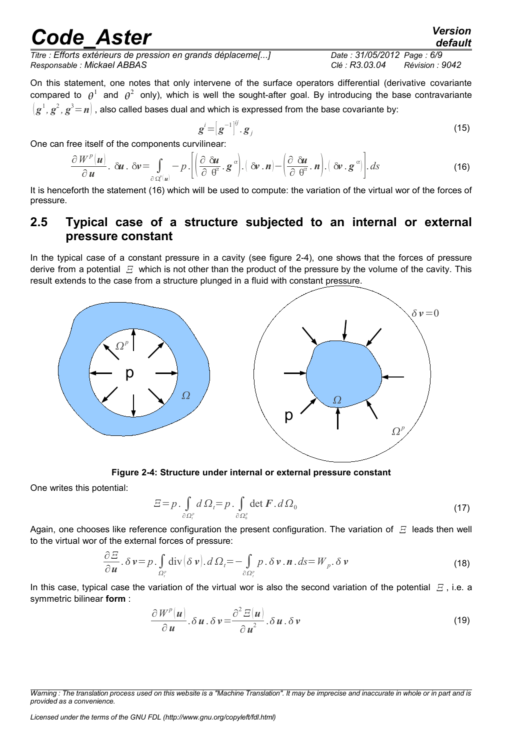*Titre : Efforts extérieurs de pression en grands déplaceme[...] Date : 31/05/2012 Page : 6/9 Responsable : Mickael ABBAS Clé : R3.03.04 Révision : 9042*

On this statement, one notes that only intervene of the surface operators differential (derivative covariante compared to  $\theta^1$  and  $\theta^2$  only), which is well the sought-after goal. By introducing the base contravariante  $\left(\bm{g}^1,\bm{g}^2,\bm{g}^3\!=\!\bm{n}\right)$  , also called bases dual and which is expressed from the base covariante by:

$$
\boldsymbol{g}^{i} = \left[\boldsymbol{g}^{-1}\right]^{ij} \cdot \boldsymbol{g}_{j} \tag{15}
$$

One can free itself of the components curvilinear:

$$
\frac{\partial W^p(u)}{\partial u} \cdot \delta u \cdot \delta v = \int_{\partial \Omega^p(u)} -p \cdot \left[ \left( \frac{\partial \delta u}{\partial \theta^{\alpha}} \cdot g^{\alpha} \right) \cdot \left( \delta v \cdot n \right) - \left( \frac{\partial \delta u}{\partial \theta^{\alpha}} \cdot n \right) \cdot \left( \delta v \cdot g^{\alpha} \right) \right] \cdot ds \tag{16}
$$

It is henceforth the statement [\(16\)](#page-5-2) which will be used to compute: the variation of the virtual wor of the forces of pressure.

#### <span id="page-5-0"></span>**2.5 Typical case of a structure subjected to an internal or external pressure constant**

In the typical case of a constant pressure in a cavity (see figure [2-4\)](#page-5-1), one shows that the forces of pressure derive from a potential  $E$  which is not other than the product of the pressure by the volume of the cavity. This result extends to the case from a structure plunged in a fluid with constant pressure.



**Figure 2-4: Structure under internal or external pressure constant**

One writes this potential:

<span id="page-5-1"></span>
$$
\Xi = p \cdot \int_{\partial \Omega_i^p} d\Omega_i = p \cdot \int_{\partial \Omega_0^p} \det \mathbf{F} \cdot d\Omega_0 \tag{17}
$$

Again, one chooses like reference configuration the present configuration. The variation of  $E$  leads then well to the virtual wor of the external forces of pressure:

$$
\frac{\partial E}{\partial u} \cdot \delta v = p \cdot \int_{\Omega_i^p} \text{div}(\delta v) \cdot d\Omega_t = -\int_{\partial \Omega_i^p} p \cdot \delta v \cdot \mathbf{n} \cdot ds = W_p \cdot \delta v \tag{18}
$$

In this case, typical case the variation of the virtual wor is also the second variation of the potential  $E$ , i.e. a symmetric bilinear **form** :

$$
\frac{\partial W^p(u)}{\partial u} \cdot \delta u \cdot \delta v = \frac{\partial^2 E(u)}{\partial u^2} \cdot \delta u \cdot \delta v \tag{19}
$$

*Licensed under the terms of the GNU FDL (http://www.gnu.org/copyleft/fdl.html)*

<span id="page-5-2"></span>

*Warning : The translation process used on this website is a "Machine Translation". It may be imprecise and inaccurate in whole or in part and is provided as a convenience.*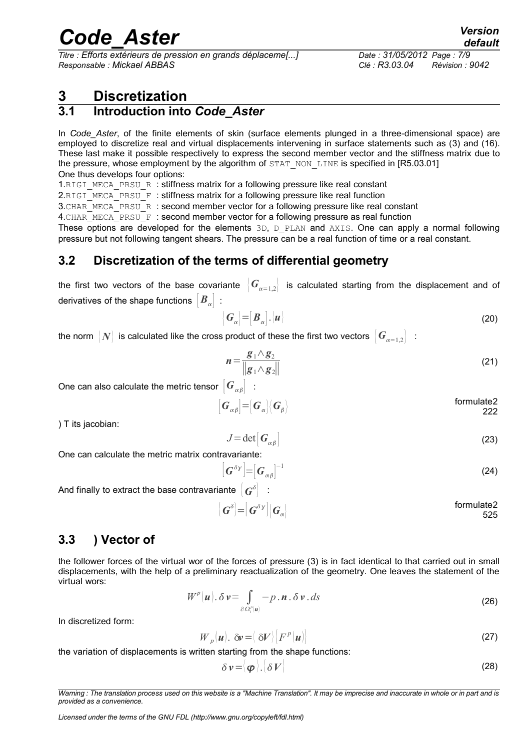*Titre : Efforts extérieurs de pression en grands déplaceme[...] Date : 31/05/2012 Page : 7/9 Responsable : Mickael ABBAS Clé : R3.03.04 Révision : 9042*

*default*

### <span id="page-6-3"></span>**3 Discretization**

### <span id="page-6-2"></span>**3.1 Introduction into** *Code\_Aster*

In *Code\_Aster*, of the finite elements of skin (surface elements plunged in a three-dimensional space) are employed to discretize real and virtual displacements intervening in surface statements such as [\(3\)](#page-3-3) and [\(16\)](#page-5-2). These last make it possible respectively to express the second member vector and the stiffness matrix due to the pressure, whose employment by the algorithm of STAT\_NON\_LINE is specified in [R5.03.01] One thus develops four options:

1.RIGI\_MECA\_PRSU\_R : stiffness matrix for a following pressure like real constant

2.RIGI\_MECA\_PRSU\_F : stiffness matrix for a following pressure like real function

3. CHAR\_MECA\_PRSU\_R : second member vector for a following pressure like real constant

4. CHAR MECA PRSU  $F :$  second member vector for a following pressure as real function

These options are developed for the elements 3D, D\_PLAN and AXIS. One can apply a normal following pressure but not following tangent shears. The pressure can be a real function of time or a real constant.

### <span id="page-6-1"></span>**3.2 Discretization of the terms of differential geometry**

the first two vectors of the base covariante  $|G_{\alpha=1,2}|$  is calculated starting from the displacement and of derivatives of the shape functions  $|B_{\alpha}|$ :

$$
\left[\mathbf{G}_{\alpha}\right] = \left[\mathbf{B}_{\alpha}\right].\left[\mathbf{u}\right]
$$
\n(20)

the norm  $|N|$  is calculated like the cross product of these the first two vectors  $|G_{n=1,2}|$ :

$$
n = \frac{g_1 \wedge g_2}{\|g_1 \wedge g_2\|} \tag{21}
$$

One can also calculate the metric tensor  $\left|G_{\alpha\beta}\right|$ :

$$
\begin{bmatrix} \boldsymbol{G}_{\alpha\beta} \end{bmatrix} = \begin{bmatrix} \boldsymbol{G}_{\alpha} \end{bmatrix} \langle \boldsymbol{G}_{\beta} \rangle
$$
formulate2  
222

) T its jacobian:

$$
J = \det[\boldsymbol{G}_{\alpha\beta}] \tag{23}
$$

One can calculate the metric matrix contravariante:

$$
\left[\boldsymbol{G}^{\delta\gamma}\right]=\left[\boldsymbol{G}_{\alpha\beta}\right]^{-1}
$$
 (24)

And finally to extract the base contravariante  $\left| \bm{\mathit{G}}^{\delta} \right|$   $\,$  :

$$
\begin{bmatrix} \boldsymbol{G}^{\delta} \end{bmatrix} = \begin{bmatrix} \boldsymbol{G}^{\delta \gamma} \end{bmatrix} \begin{bmatrix} \boldsymbol{G}_{\alpha} \end{bmatrix}
$$
formulate2  
525

### <span id="page-6-0"></span>**3.3 ) Vector of**

the follower forces of the virtual wor of the forces of pressure [\(3\)](#page-3-3) is in fact identical to that carried out in small displacements, with the help of a preliminary reactualization of the geometry. One leaves the statement of the virtual wors:

$$
W^{p}(\boldsymbol{u}).\delta\boldsymbol{v}=\int_{\partial\Omega^{p}_{i}(\boldsymbol{u})}-p.\boldsymbol{n}.\delta\boldsymbol{v}.d\boldsymbol{s}
$$
\n(26)

In discretized form:

$$
W_p(u). \delta v = \langle \delta V \rangle \big| F^p(u) \big| \tag{27}
$$

the variation of displacements is written starting from the shape functions:

$$
\delta v = \langle \boldsymbol{\varphi} \rangle . \left| \delta V \right| \tag{28}
$$

*Warning : The translation process used on this website is a "Machine Translation". It may be imprecise and inaccurate in whole or in part and is provided as a convenience.*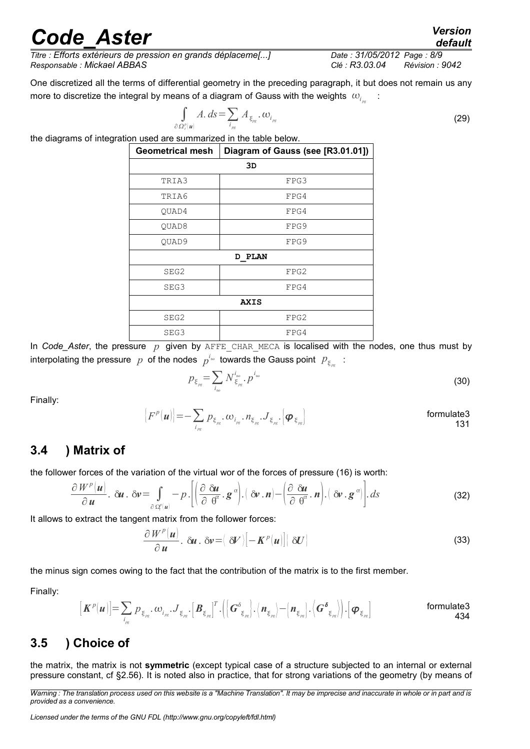*Titre : Efforts extérieurs de pression en grands déplaceme[...] Date : 31/05/2012 Page : 8/9 Responsable : Mickael ABBAS Clé : R3.03.04 Révision : 9042*

One discretized all the terms of differential geometry in the preceding paragraph, it but does not remain us any more to discretize the integral by means of a diagram of Gauss with the weights  $\left.w_{i_{_{pq}}} \right.$ :

$$
\int_{\Omega_{\cdot}^p[u]} A. ds = \sum_{i_{\rho g}} A_{\xi_{\rho g}}. \omega_{i_{\rho g}}
$$
\n(29)

∂*<sup>t</sup>* the diagrams of integration used are summarized in the table below.

| <b>Geometrical mesh</b> | Diagram of Gauss (see [R3.01.01]) |  |
|-------------------------|-----------------------------------|--|
| 3D                      |                                   |  |
| TRIA3                   | FPG3                              |  |
| TRIA6                   | FPG4                              |  |
| QUAD4                   | FPG4                              |  |
| QUAD8                   | FPG9                              |  |
| QUAD9                   | FPG9                              |  |
| <b>D PLAN</b>           |                                   |  |
| SEG2                    | FPG2                              |  |
| SEG3                    | FPG4                              |  |
|                         | AXIS                              |  |
| SEG2                    | FPG2                              |  |
| SEG3                    | FPG4                              |  |

In *Code\_Aster*, the pressure p given by AFFE CHAR MECA is localised with the nodes, one thus must by interpolating the pressure  $|p|$  of the nodes  $|p^{i_{\sf no}}|$  towards the Gauss point  $|p_{\xi_{pq}}|$  :

$$
p_{\xi_{p_s}} = \sum_{i_{\rm no}} N_{\xi_{p_s}}^{i_{\rm no}} \cdot p^{i_{\rm no}}
$$
 (30)

Finally:

$$
[Fp(u)]=- \sum_{i_{\scriptscriptstyle{pg}}}\, p_{\xi_{\scriptscriptstyle{pg}}}\, \cdot \omega_{i_{\scriptscriptstyle{pg}}}\, \cdot \, n_{\xi_{\scriptscriptstyle{pg}}}\, \cdot \, J_{\xi_{\scriptscriptstyle{pg}}}\, \cdot \, \left[\boldsymbol{\varphi}_{\xi_{\scriptscriptstyle{pg}}}\right]
$$
\nformulate3

#### <span id="page-7-1"></span>**3.4 ) Matrix of**

the follower forces of the variation of the virtual wor of the forces of pressure [\(16\)](#page-5-2) is worth:

$$
\frac{\partial W^p(\boldsymbol{u})}{\partial \boldsymbol{u}}.\ \ \delta \boldsymbol{u}.\ \ \delta \boldsymbol{v} = \int\limits_{\partial \Omega^p(\boldsymbol{u})} -p \cdot \left[ \left( \frac{\partial}{\partial} \frac{\delta \boldsymbol{u}}{\partial \theta^{\alpha}} \cdot \boldsymbol{g}^{\alpha} \right) \cdot \left( \delta \boldsymbol{v} \cdot \boldsymbol{n} \right) - \left( \frac{\partial}{\partial} \frac{\delta \boldsymbol{u}}{\theta^{\alpha}} \cdot \boldsymbol{n} \right) \cdot \left( \delta \boldsymbol{v} \cdot \boldsymbol{g}^{\alpha} \right) \right] ds \tag{32}
$$

It allows to extract the tangent matrix from the follower forces:

$$
\frac{\partial W^p(u)}{\partial u} \cdot \delta u \cdot \delta v = \langle \delta V \rangle [-K^p(u)] [\delta U]
$$
\n(33)

the minus sign comes owing to the fact that the contribution of the matrix is to the first member.

Finally:

$$
\left[\boldsymbol{K}^{p}(\boldsymbol{u})\right] = \sum_{i_{\mathcal{B}} \in \mathcal{D}_{\xi_{\mathcal{B}}}} \mathcal{D}_{\xi_{\mathcal{B}}} \cdot \boldsymbol{U}_{\xi_{\mathcal{B}}}\cdot \left[\boldsymbol{B}_{\xi_{\mathcal{B}}}\right]^T \cdot \left(\left\{\boldsymbol{G}^{\delta}_{\xi_{\mathcal{B}}}\right\} \cdot \left\{\boldsymbol{n}_{\xi_{\mathcal{B}}}\right\} - \left\{\boldsymbol{n}_{\xi_{\mathcal{B}}}\right\} \cdot \left\{\boldsymbol{G}^{\delta}_{\xi_{\mathcal{B}}}\right\}\right) \cdot \left[\boldsymbol{\varphi}_{\xi_{\mathcal{B}}}\right] \qquad \qquad \text{formulate3} \\ 434
$$

### <span id="page-7-0"></span>**3.5 ) Choice of**

the matrix, the matrix is not **symmetric** (except typical case of a structure subjected to an internal or external pressure constant, cf §2.[56\)](#page-5-0). It is noted also in practice, that for strong variations of the geometry (by means of

*default*

*Warning : The translation process used on this website is a "Machine Translation". It may be imprecise and inaccurate in whole or in part and is provided as a convenience.*